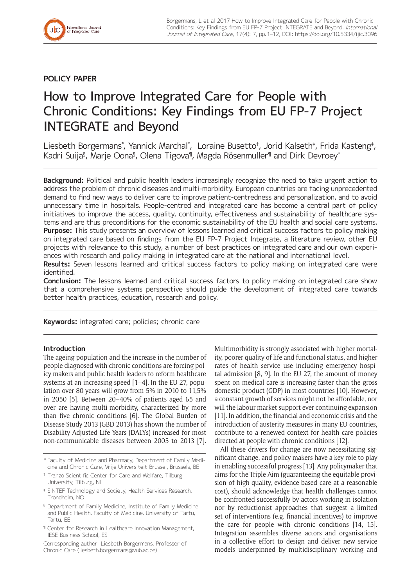

# **POLICY PAPER**

# How to Improve Integrated Care for People with Chronic Conditions: Key Findings from EU FP-7 Project INTEGRATE and Beyond

Liesbeth Borgermans\*, Yannick Marchal\*, Loraine Busetto†, Jorid Kalseth‡, Frida Kasteng‡, Kadri Suija§, Marje Oona§, Olena Tigova¶, Magda Rösenmuller¶ and Dirk Devroey\*

**Background:** Political and public health leaders increasingly recognize the need to take urgent action to address the problem of chronic diseases and multi-morbidity. European countries are facing unprecedented demand to find new ways to deliver care to improve patient-centredness and personalization, and to avoid unnecessary time in hospitals. People-centred and integrated care has become a central part of policy initiatives to improve the access, quality, continuity, effectiveness and sustainability of healthcare systems and are thus preconditions for the economic sustainability of the EU health and social care systems. **Purpose:** This study presents an overview of lessons learned and critical success factors to policy making on integrated care based on findings from the EU FP-7 Project Integrate, a literature review, other EU projects with relevance to this study, a number of best practices on integrated care and our own experiences with research and policy making in integrated care at the national and international level.

**Results:** Seven lessons learned and critical success factors to policy making on integrated care were identified.

**Conclusion:** The lessons learned and critical success factors to policy making on integrated care show that a comprehensive systems perspective should guide the development of integrated care towards better health practices, education, research and policy.

**Keywords:** integrated care; policies; chronic care

# **Introduction**

The ageing population and the increase in the number of people diagnosed with chronic conditions are forcing policy makers and public health leaders to reform healthcare systems at an increasing speed [1–4]. In the EU 27, population over 80 years will grow from 5% in 2010 to 11,5% in 2050 [5]. Between 20–40% of patients aged 65 and over are having multi-morbidity, characterized by more than five chronic conditions [6]. The Global Burden of Disease Study 2013 (GBD 2013) has shown the number of Disability Adjusted Life Years (DALYs) increased for most non-communicable diseases between 2005 to 2013 [7].

Multimorbidity is strongly associated with higher mortality, poorer quality of life and functional status, and higher rates of health service use including emergency hospital admission [8, 9]. In the EU 27, the amount of money spent on medical care is increasing faster than the gross domestic product (GDP) in most countries [10]. However, a constant growth of services might not be affordable, nor will the labour market support ever continuing expansion [11]. In addition, the financial and economic crisis and the introduction of austerity measures in many EU countries, contribute to a renewed context for health care policies directed at people with chronic conditions [12].

All these drivers for change are now necessitating significant change, and policy makers have a key role to play in enabling successful progress [13]. Any policymaker that aims for the Triple Aim (guaranteeing the equitable provision of high-quality, evidence-based care at a reasonable cost), should acknowledge that health challenges cannot be confronted successfully by actors working in isolation nor by reductionist approaches that suggest a limited set of interventions (e.g. financial incentives) to improve the care for people with chronic conditions [14, 15]. Integration assembles diverse actors and organisations in a collective effort to design and deliver new service models underpinned by multidisciplinary working and

<sup>\*</sup> Faculty of Medicine and Pharmacy, Department of Family Medicine and Chronic Care, Vrije Universiteit Brussel, Brussels, BE

<sup>†</sup> Tranzo Scientific Center for Care and Welfare, Tilburg University, Tilburg, NL

<sup>‡</sup> SINTEF Technology and Society, Health Services Research, Trondheim, NO

<sup>§</sup> Department of Family Medicine, Institute of Family Medicine and Public Health, Faculty of Medicine, University of Tartu, Tartu, EE

<sup>¶</sup> Center for Research in Healthcare Innovation Management, IESE Business School, ES

Corresponding author: Liesbeth Borgermans, Professor of Chronic Care ([liesbeth.borgermans@vub.ac.be](mailto:liesbeth.borgermans@vub.ac.be))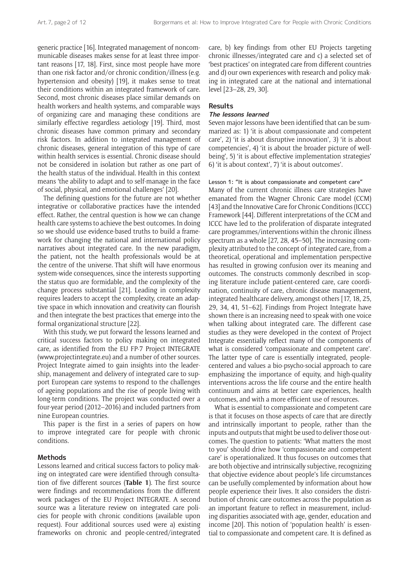generic practice [16]. Integrated management of noncommunicable diseases makes sense for at least three important reasons [17, 18]. First, since most people have more than one risk factor and/or chronic condition/illness (e.g. hypertension and obesity) [19], it makes sense to treat their conditions within an integrated framework of care. Second, most chronic diseases place similar demands on health workers and health systems, and comparable ways of organizing care and managing these conditions are similarly effective regardless aetiology [19]. Third, most chronic diseases have common primary and secondary risk factors. In addition to integrated management of chronic diseases, general integration of this type of care within health services is essential. Chronic disease should not be considered in isolation but rather as one part of the health status of the individual. Health in this context means 'the ability to adapt and to self-manage in the face of social, physical, and emotional challenges' [20].

The defining questions for the future are not whether integrative or collaborative practices have the intended effect. Rather, the central question is how we can change health care systems to achieve the best outcomes. In doing so we should use evidence-based truths to build a framework for changing the national and international policy narratives about integrated care. In the new paradigm, the patient, not the health professionals would be at the centre of the universe. That shift will have enormous system-wide consequences, since the interests supporting the status quo are formidable, and the complexity of the change process substantial [21]. Leading in complexity requires leaders to accept the complexity, create an adaptive space in which innovation and creativity can flourish and then integrate the best practices that emerge into the formal organizational structure [22].

With this study, we put forward the lessons learned and critical success factors to policy making on integrated care, as identified from the EU FP-7 Project INTEGRATE (www.projectintegrate.eu) and a number of other sources. Project Integrate aimed to gain insights into the leadership, management and delivery of integrated care to support European care systems to respond to the challenges of ageing populations and the rise of people living with long-term conditions. The project was conducted over a four-year period (2012–2016) and included partners from nine European countries.

This paper is the first in a series of papers on how to improve integrated care for people with chronic conditions.

## **Methods**

Lessons learned and critical success factors to policy making on integrated care were identified through consultation of five different sources (**Table 1**). The first source were findings and recommendations from the different work packages of the EU Project INTEGRATE. A second source was a literature review on integrated care policies for people with chronic conditions (available upon request). Four additional sources used were a) existing frameworks on chronic and people-centred/integrated care, b) key findings from other EU Projects targeting chronic illnesses/integrated care and c) a selected set of 'best practices' on integrated care from different countries and d) our own experiences with research and policy making in integrated care at the national and international level [23–28, 29, 30].

#### **Results**

#### **The lessons learned**

Seven major lessons have been identified that can be summarized as: 1) 'it is about compassionate and competent care', 2) 'it is about disruptive innovation', 3) 'it is about competencies', 4) 'it is about the broader picture of wellbeing', 5) 'it is about effective implementation strategies' 6) 'it is about context', 7) 'it is about outcomes'.

Lesson 1: "It is about compassionate and competent care" Many of the current chronic illness care strategies have emanated from the Wagner Chronic Care model (CCM) [43] and the Innovative Care for Chronic Conditions (ICCC) Framework [44]. Different interpretations of the CCM and ICCC have led to the proliferation of disparate integrated care programmes/interventions within the chronic illness spectrum as a whole [27, 28, 45–50]. The increasing complexity attributed to the concept of integrated care, from a theoretical, operational and implementation perspective has resulted in growing confusion over its meaning and outcomes. The constructs commonly described in scoping literature include patient-centered care, care coordination, continuity of care, chronic disease management, integrated healthcare delivery, amongst others [17, 18, 25, 29, 34, 41, 51–62]. Findings from Project Integrate have shown there is an increasing need to speak with one voice when talking about integrated care. The different case studies as they were developed in the context of Project Integrate essentially reflect many of the components of what is considered 'compassionate and competent care'. The latter type of care is essentially integrated, peoplecentered and values a bio-psycho-social approach to care emphasizing the importance of equity, and high-quality interventions across the life course and the entire health continuum and aims at better care experiences, health outcomes, and with a more efficient use of resources.

What is essential to compassionate and competent care is that it focuses on those aspects of care that are directly and intrinsically important to people, rather than the inputs and outputs that might be used to deliver those outcomes. The question to patients: 'What matters the most to you' should drive how 'compassionate and competent care' is operationalized. It thus focuses on outcomes that are both objective and intrinsically subjective, recognizing that objective evidence about people's life circumstances can be usefully complemented by information about how people experience their lives. It also considers the distribution of chronic care outcomes across the population as an important feature to reflect in measurement, including disparities associated with age, gender, education and income [20]. This notion of 'population health' is essential to compassionate and competent care. It is defined as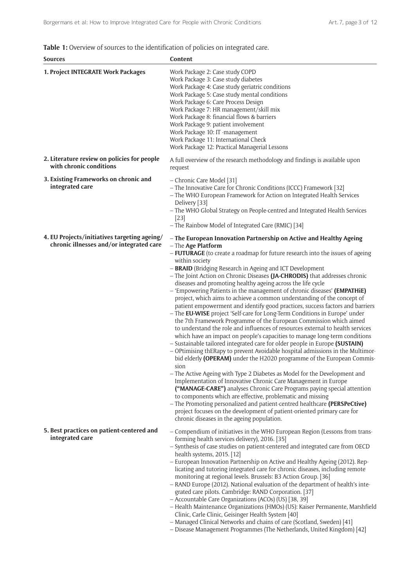| <b>Table 1:</b> Overview of sources to the identification of policies on integrated care. |  |
|-------------------------------------------------------------------------------------------|--|
|-------------------------------------------------------------------------------------------|--|

| <b>Sources</b>                                                                           | Content                                                                                                                                                                                                                                                                                                                                                                                                                                                                                                                                                                                                                                                                                                                                                                                                                                                                                                                                                                                                                                                                                                                                                                                                                                                                                                                                                                                                                                                                                                                                                                                                                                                                                                                  |
|------------------------------------------------------------------------------------------|--------------------------------------------------------------------------------------------------------------------------------------------------------------------------------------------------------------------------------------------------------------------------------------------------------------------------------------------------------------------------------------------------------------------------------------------------------------------------------------------------------------------------------------------------------------------------------------------------------------------------------------------------------------------------------------------------------------------------------------------------------------------------------------------------------------------------------------------------------------------------------------------------------------------------------------------------------------------------------------------------------------------------------------------------------------------------------------------------------------------------------------------------------------------------------------------------------------------------------------------------------------------------------------------------------------------------------------------------------------------------------------------------------------------------------------------------------------------------------------------------------------------------------------------------------------------------------------------------------------------------------------------------------------------------------------------------------------------------|
| 1. Project INTEGRATE Work Packages                                                       | Work Package 2: Case study COPD<br>Work Package 3: Case study diabetes<br>Work Package 4: Case study geriatric conditions<br>Work Package 5: Case study mental conditions<br>Work Package 6: Care Process Design<br>Work Package 7: HR management/skill mix<br>Work Package 8: financial flows & barriers<br>Work Package 9: patient involvement<br>Work Package 10: IT -management<br>Work Package 11: International Check<br>Work Package 12: Practical Managerial Lessons                                                                                                                                                                                                                                                                                                                                                                                                                                                                                                                                                                                                                                                                                                                                                                                                                                                                                                                                                                                                                                                                                                                                                                                                                                             |
| 2. Literature review on policies for people<br>with chronic conditions                   | A full overview of the research methodology and findings is available upon<br>request                                                                                                                                                                                                                                                                                                                                                                                                                                                                                                                                                                                                                                                                                                                                                                                                                                                                                                                                                                                                                                                                                                                                                                                                                                                                                                                                                                                                                                                                                                                                                                                                                                    |
| 3. Existing Frameworks on chronic and<br>integrated care                                 | - Chronic Care Model [31]<br>- The Innovative Care for Chronic Conditions (ICCC) Framework [32]<br>- The WHO European Framework for Action on Integrated Health Services<br>Delivery [33]<br>- The WHO Global Strategy on People-centred and Integrated Health Services<br>$[23]$<br>- The Rainbow Model of Integrated Care (RMIC) [34]                                                                                                                                                                                                                                                                                                                                                                                                                                                                                                                                                                                                                                                                                                                                                                                                                                                                                                                                                                                                                                                                                                                                                                                                                                                                                                                                                                                  |
| 4. EU Projects/initiatives targeting ageing/<br>chronic illnesses and/or integrated care | - The European Innovation Partnership on Active and Healthy Ageing<br>- The Age Platform<br>- FUTURAGE (to create a roadmap for future research into the issues of ageing<br>within society<br>- <b>BRAID</b> (Bridging Research in Ageing and ICT Development<br>- The Joint Action on Chronic Diseases (JA-CHRODIS) that addresses chronic<br>diseases and promoting healthy ageing across the life cycle<br>- 'Empowering Patients in the management of chronic diseases' (EMPATHIE)<br>project, which aims to achieve a common understanding of the concept of<br>patient empowerment and identify good practices, success factors and barriers<br>- The EU-WISE project 'Self-care for Long-Term Conditions in Europe' under<br>the 7th Framework Programme of the European Commission which aimed<br>to understand the role and influences of resources external to health services<br>which have an impact on people's capacities to manage long-term conditions<br>- Sustainable tailored integrated care for older people in Europe (SUSTAIN)<br>- OPtimising thERapy to prevent Avoidable hospital admissions in the Multimor-<br>bid elderly (OPERAM) under the H2020 programme of the European Commis-<br>sion<br>- The Active Ageing with Type 2 Diabetes as Model for the Development and<br>Implementation of Innovative Chronic Care Management in Europe<br>("MANAGE-CARE") analyses Chronic Care Programs paying special attention<br>to components which are effective, problematic and missing<br>- The Promoting personalized and patient-centred healthcare (PERSPeCtive)<br>project focuses on the development of patient-oriented primary care for<br>chronic diseases in the ageing population. |
| 5. Best practices on patient-centered and<br>integrated care                             | - Compendium of initiatives in the WHO European Region (Lessons from trans-<br>forming health services delivery), 2016. [35]<br>- Synthesis of case studies on patient-centered and integrated care from OECD<br>health systems, 2015. [12]<br>- European Innovation Partnership on Active and Healthy Ageing (2012). Rep-<br>licating and tutoring integrated care for chronic diseases, including remote<br>monitoring at regional levels. Brussels: B3 Action Group. [36]<br>- RAND Europe (2012). National evaluation of the department of health's inte-<br>grated care pilots. Cambridge: RAND Corporation. [37]<br>- Accountable Care Organizations (ACOs) (US) [38, 39]<br>- Health Maintenance Organizations (HMOs) (US): Kaiser Permanente, Marshfield<br>Clinic, Carle Clinic, Geisinger Health System [40]<br>- Managed Clinical Networks and chains of care (Scotland, Sweden) [41]<br>- Disease Management Programmes (The Netherlands, United Kingdom) [42]                                                                                                                                                                                                                                                                                                                                                                                                                                                                                                                                                                                                                                                                                                                                               |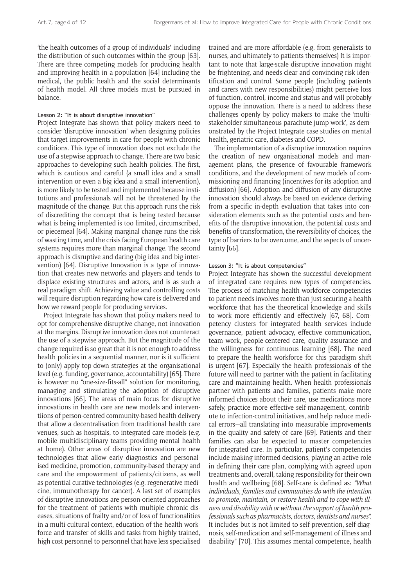'the health outcomes of a group of individuals' including the distribution of such outcomes within the group [63]. There are three competing models for producing health and improving health in a population [64] including the medical, the public health and the social determinants of health model. All three models must be pursued in balance.

#### Lesson 2: "It is about disruptive innovation"

Project Integrate has shown that policy makers need to consider 'disruptive innovation' when designing policies that target improvements in care for people with chronic conditions. This type of innovation does not exclude the use of a stepwise approach to change. There are two basic approaches to developing such health policies. The first, which is cautious and careful (a small idea and a small intervention or even a big idea and a small intervention), is more likely to be tested and implemented because institutions and professionals will not be threatened by the magnitude of the change. But this approach runs the risk of discrediting the concept that is being tested because what is being implemented is too limited, circumscribed, or piecemeal [64]. Making marginal change runs the risk of wasting time, and the crisis facing European health care systems requires more than marginal change. The second approach is disruptive and daring (big idea and big intervention) [64]. Disruptive Innovation is a type of innovation that creates new networks and players and tends to displace existing structures and actors, and is as such a real paradigm shift. Achieving value and controlling costs will require disruption regarding how care is delivered and how we reward people for producing services.

Project Integrate has shown that policy makers need to opt for comprehensive disruptive change, not innovation at the margins. Disruptive innovation does not counteract the use of a stepwise approach. But the magnitude of the change required is so great that it is not enough to address health policies in a sequential manner, nor is it sufficient to (only) apply top-down strategies at the organisational level (e.g. funding, governance, accountability) [65]. There is however no "one-size-fits-all" solution for monitoring, managing and stimulating the adoption of disruptive innovations [66]. The areas of main focus for disruptive innovations in health care are new models and interventiions of person-centred community-based health delivery that allow a decentralisation from traditional health care venues, such as hospitals, to integrated care models (e.g. mobile multidisciplinary teams providing mental health at home). Other areas of disruptive innovation are new technologies that allow early diagnostics and personalised medicine, promotion, community-based therapy and care and the empowerment of patients/citizens, as well as potential curative technologies (e.g. regenerative medicine, immunotherapy for cancer). A last set of examples of disruptive innovations are person-oriented approaches for the treatment of patients with multiple chronic diseases, situations of frailty and/or of loss of functionalities in a multi-cultural context, education of the health workforce and transfer of skills and tasks from highly trained, high cost personnel to personnel that have less specialised

trained and are more affordable (e.g. from generalists to nurses, and ultimately to patients themselves) It is important to note that large-scale disruptive innovation might be frightening, and needs clear and convincing risk identification and control. Some people (including patients and carers with new responsibilities) might perceive loss of function, control, income and status and will probably oppose the innovation. There is a need to address these challenges openly by policy makers to make the 'multistakeholder simultaneous parachute jump work', as demonstrated by the Project Integrate case studies on mental health, geriatric care, diabetes and COPD.

The implementation of a disruptive innovation requires the creation of new organisational models and management plans, the presence of favourable framework conditions, and the development of new models of commissioning and financing (incentives for its adoption and diffusion) [66]. Adoption and diffusion of any disruptive innovation should always be based on evidence deriving from a specific in-depth evaluation that takes into consideration elements such as the potential costs and benefits of the disruptive innovation, the potential costs and benefits of transformation, the reversibility of choices, the type of barriers to be overcome, and the aspects of uncertainty [66].

#### Lesson 3: "It is about competencies"

Project Integrate has shown the successful development of integrated care requires new types of competencies. The process of matching health workforce competencies to patient needs involves more than just securing a health workforce that has the theoretical knowledge and skills to work more efficiently and effectively [67, 68]. Competency clusters for integrated health services include governance, patient advocacy, effective communication, team work, people-centered care, quality assurance and the willingness for continuous learning [68]. The need to prepare the health workforce for this paradigm shift is urgent [67]. Especially the health professionals of the future will need to partner with the patient in facilitating care and maintaining health. When health professionals partner with patients and families, patients make more informed choices about their care, use medications more safely, practice more effective self-management, contribute to infection-control initiatives, and help reduce medical errors—all translating into measurable improvements in the quality and safety of care [69]. Patients and their families can also be expected to master competencies for integrated care. In particular, patient's competencies include making informed decisions, playing an active role in defining their care plan, complying with agreed upon treatments and, overall, taking responsibility for their own health and wellbeing [68]. Self-care is defined as: *"What individuals*, *families and communities do with the intention to promote*, *maintain*, *or restore health and to cope with illness and disability with or without the support of health professionals such as pharmacists*, *doctors*, *dentists and nurses".* It includes but is not limited to self-prevention, self-diagnosis, self-medication and self-management of illness and disability" [70]. This assumes mental competence, health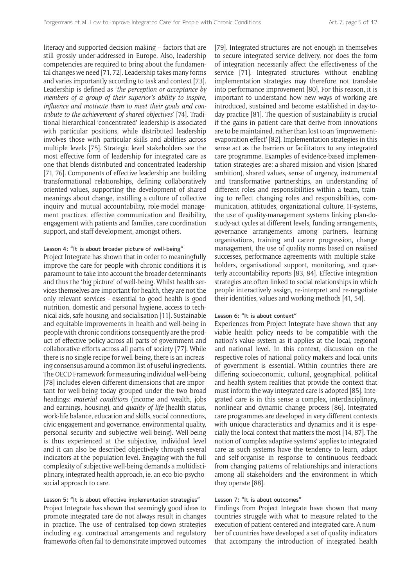literacy and supported decision-making – factors that are still grossly under-addressed in Europe. Also, leadership competencies are required to bring about the fundamental changes we need [71, 72]. Leadership takes many forms and varies importantly according to task and context [73]. Leadership is defined as '*the perception or acceptance by members of a group of their superior's ability to inspire*, *influence and motivate them to meet their goals and contribute to the achievement of shared objectives*' [74]. Traditional hierarchical 'concentrated' leadership is associated with particular positions, while distributed leadership involves those with particular skills and abilities across multiple levels [75]. Strategic level stakeholders see the most effective form of leadership for integrated care as one that blends distributed and concentrated leadership [71, 76]. Components of effective leadership are: building transformational relationships, defining collaboratively oriented values, supporting the development of shared meanings about change, instilling a culture of collective inquiry and mutual accountability, role-model management practices, effective communication and flexibility, engagement with patients and families, care coordination support, and staff development, amongst others.

#### Lesson 4: "It is about broader picture of well-being"

Project Integrate has shown that in order to meaningfully improve the care for people with chronic conditions it is paramount to take into account the broader determinants and thus the 'big picture' of well-being. Whilst health services themselves are important for health, they are not the only relevant services - essential to good health is good nutrition, domestic and personal hygiene, access to technical aids, safe housing, and socialisation [11]. Sustainable and equitable improvements in health and well-being in people with chronic conditions consequently are the product of effective policy across all parts of government and collaborative efforts across all parts of society [77]. While there is no single recipe for well-being, there is an increasing consensus around a common list of useful ingredients. The OECD Framework for measuring individual well-being [78] includes eleven different dimensions that are important for well-being today grouped under the two broad headings: *material conditions* (income and wealth, jobs and earnings, housing), and *quality of life* (health status, work-life balance, education and skills, social connections, civic engagement and governance, environmental quality, personal security and subjective well-being). Well-being is thus experienced at the subjective, individual level and it can also be described objectively through several indicators at the population level. Engaging with the full complexity of subjective well-being demands a multidisciplinary, integrated health approach, ie. an eco-bio-psychosocial approach to care.

#### Lesson 5: "It is about effective implementation strategies"

Project Integrate has shown that seemingly good ideas to promote integrated care do not always result in changes in practice. The use of centralised top-down strategies including e.g. contractual arrangements and regulatory frameworks often fail to demonstrate improved outcomes [79]. Integrated structures are not enough in themselves to secure integrated service delivery, nor does the form of integration necessarily affect the effectiveness of the service [71]. Integrated structures without enabling implementation strategies may therefore not translate into performance improvement [80]. For this reason, it is important to understand how new ways of working are introduced, sustained and become established in day-today practice [81]. The question of sustainability is crucial if the gains in patient care that derive from innovations are to be maintained, rather than lost to an 'improvementevaporation effect' [82]. Implementation strategies in this sense act as the barriers or facilitators to any integrated care programme. Examples of evidence-based implementation strategies are: a shared mission and vision (shared ambition), shared values, sense of urgency, instrumental and transformative partnerships, an understanding of different roles and responsibilities within a team, training to reflect changing roles and responsibilities, communication, attitudes, organizational culture, IT-systems, the use of quality-management systems linking plan-dostudy-act cycles at different levels, funding arrangements, governance arrangements among partners, learning organisations, training and career progression, change management, the use of quality norms based on realised successes, performance agreements with multiple stakeholders, organisational support, monitoring, and quarterly accountability reports [83, 84]. Effective integration strategies are often linked to social relationships in which people interactively assign, re-interpret and re-negotiate their identities, values and working methods [41, 54].

# Lesson 6: "It is about context"

Experiences from Project Integrate have shown that any viable health policy needs to be compatible with the nation's value system as it applies at the local, regional and national level. In this context, discussion on the respective roles of national policy makers and local units of government is essential. Within countries there are differing socioeconomic, cultural, geographical, political and health system realities that provide the context that must inform the way integrated care is adopted [85]. Integrated care is in this sense a complex, interdisciplinary, nonlinear and dynamic change process [86]. Integrated care programmes are developed in very different contexts with unique characteristics and dynamics and it is especially the local context that matters the most [14, 87]. The notion of 'complex adaptive systems' applies to integrated care as such systems have the tendency to learn, adapt and self-organise in response to continuous feedback from changing patterns of relationships and interactions among all stakeholders and the environment in which they operate [88].

#### Lesson 7: "It is about outcomes"

Findings from Project Integrate have shown that many countries struggle with what to measure related to the execution of patient-centered and integrated care. A number of countries have developed a set of quality indicators that accompany the introduction of integrated health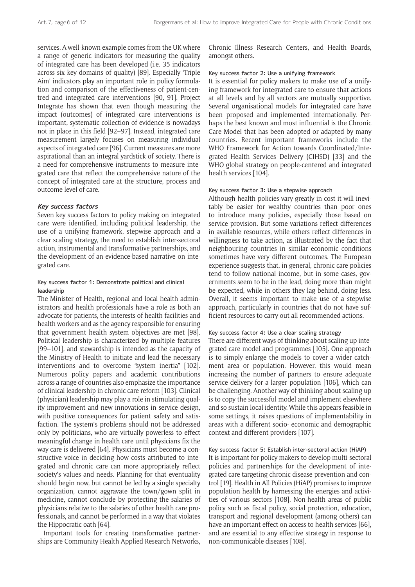services. A well-known example comes from the UK where a range of generic indicators for measuring the quality of integrated care has been developed (i.e. 35 indicators across six key domains of quality) [89]. Especially 'Triple Aim' indicators play an important role in policy formulation and comparison of the effectiveness of patient-centred and integrated care interventions [90, 91]. Project Integrate has shown that even though measuring the impact (outcomes) of integrated care interventions is important, systematic collection of evidence is nowadays not in place in this field [92–97]. Instead, integrated care measurement largely focuses on measuring individual aspects of integrated care [96]. Current measures are more aspirational than an integral yardstick of society. There is a need for comprehensive instruments to measure integrated care that reflect the comprehensive nature of the concept of integrated care at the structure, process and outcome level of care.

#### **Key success factors**

Seven key success factors to policy making on integrated care were identified, including political leadership, the use of a unifying framework, stepwise approach and a clear scaling strategy, the need to establish inter-sectoral action, instrumental and transformative partnerships, and the development of an evidence-based narrative on integrated care.

# Key success factor 1: Demonstrate political and clinical leadership

The Minister of Health, regional and local health administrators and health professionals have a role as both an advocate for patients, the interests of health facilities and health workers and as the agency responsible for ensuring that government health system objectives are met [98]. Political leadership is characterized by multiple features [99–101], and stewardship is intended as the capacity of the Ministry of Health to initiate and lead the necessary interventions and to overcome "system inertia" [102]. Numerous policy papers and academic contributions across a range of countries also emphasize the importance of clinical leadership in chronic care reform [103]. Clinical (physician) leadership may play a role in stimulating quality improvement and new innovations in service design, with positive consequences for patient safety and satisfaction. The system's problems should not be addressed only by politicians, who are virtually powerless to effect meaningful change in health care until physicians fix the way care is delivered [64]. Physicians must become a constructive voice in deciding how costs attributed to integrated and chronic care can more appropriately reflect society's values and needs. Planning for that eventuality should begin now, but cannot be led by a single specialty organization, cannot aggravate the town/gown split in medicine, cannot conclude by protecting the salaries of physicians relative to the salaries of other health care professionals, and cannot be performed in a way that violates the Hippocratic oath [64].

Important tools for creating transformative partnerships are Community Health Applied Research Networks, Chronic Illness Research Centers, and Health Boards, amongst others.

#### Key success factor 2: Use a unifying framework

It is essential for policy makers to make use of a unifying framework for integrated care to ensure that actions at all levels and by all sectors are mutually supportive. Several organisational models for integrated care have been proposed and implemented internationally. Perhaps the best known and most influential is the Chronic Care Model that has been adopted or adapted by many countries. Recent important frameworks include the WHO Framework for Action towards Coordinated/Integrated Health Services Delivery (CIHSD) [33] and the WHO global strategy on people-centered and integrated health services [104].

# Key success factor 3: Use a stepwise approach

Although health policies vary greatly in cost it will inevitably be easier for wealthy countries than poor ones to introduce many policies, especially those based on service provision. But some variations reflect differences in available resources, while others reflect differences in willingness to take action, as illustrated by the fact that neighbouring countries in similar economic conditions sometimes have very different outcomes. The European experience suggests that, in general, chronic care policies tend to follow national income, but in some cases, governments seem to be in the lead, doing more than might be expected, while in others they lag behind, doing less. Overall, it seems important to make use of a stepwise approach, particularly in countries that do not have sufficient resources to carry out all recommended actions.

## Key success factor 4: Use a clear scaling strategy

There are different ways of thinking about scaling up integrated care model and programmes [105]. One approach is to simply enlarge the models to cover a wider catchment area or population. However, this would mean increasing the number of partners to ensure adequate service delivery for a larger population [106], which can be challenging. Another way of thinking about scaling up is to copy the successful model and implement elsewhere and so sustain local identity. While this appears feasible in some settings, it raises questions of implementability in areas with a different socio- economic and demographic context and different providers [107].

Key success factor 5: Establish inter-sectoral action (HiAP) It is important for policy makers to develop multi-sectoral policies and partnerships for the development of integrated care targeting chronic disease prevention and control [19]. Health in All Policies (HiAP) promises to improve population health by harnessing the energies and activities of various sectors [108]. Non-health areas of public policy such as fiscal policy, social protection, education, transport and regional development (among others) can have an important effect on access to health services [66]. and are essential to any effective strategy in response to non-communicable diseases [108].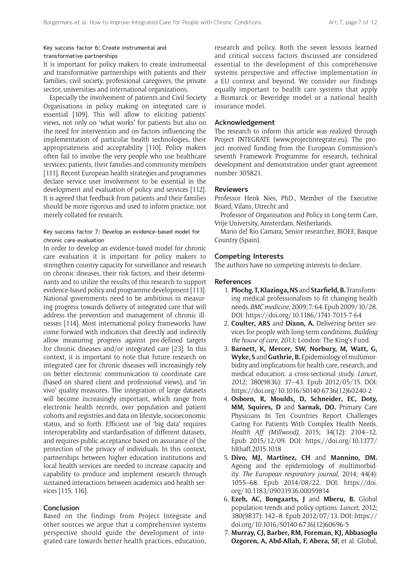# Key success factor 6: Create instrumental and transformative partnerships

It is important for policy makers to create instrumental and transformative partnerships with patients and their families, civil society, professional caregivers, the private sector, universities and international organizations.

Especially the involvement of patients and Civil Society Organisations in policy making on integrated care is essential [109]. This will allow to eliciting patients' views, not only on 'what works' for patients but also on the need for intervention and on factors influencing the implementation of particular health technologies, their appropriateness and acceptability [110]. Policy makers often fail to involve the very people who use healthcare services: patients, their families and community members [111]. Recent European health strategies and programmes declare service user involvement to be essential in the development and evaluation of policy and services [112]. It is agreed that feedback from patients and their families should be more rigorous and used to inform practice, not merely collated for research.

# Key success factor 7: Develop an evidence-based model for chronic care evaluation

In order to develop an evidence-based model for chronic care evaluation it is important for policy makers to strengthen country capacity for surveillance and research on chronic diseases, their risk factors, and their determinants and to utilize the results of this research to support evidence-based policy and programme development [113]. National governments need to be ambitious in measuring progress towards delivery of integrated care that will address the prevention and management of chronic illnesses [114]. Most international policy frameworks have come forward with indicators that directly and indirectly allow measuring progress against pre-defined targets for chronic diseases and/or integrated care [23]. In this context, it is important to note that future research on integrated care for chronic diseases will increasingly rely on better electronic communication to coordinate care (based on shared client and professional views), and 'in vivo' quality measures. The integration of large datasets will become increasingly important, which range from electronic health records, over population and patient cohorts and registries and data on lifestyle, socioeconomic status, and so forth. Efficient use of 'big data' requires interoperability and stardardisation of different datasets, and requires public acceptance based on assurance of the protection of the privacy of individuals. In this context, partnerships between higher education institutions and local health services are needed to increase capacity and capability to produce and implement research through sustained interactions between academics and health services [115, 116].

# **Conclusion**

Based on the findings from Project Integrate and other sources we argue that a comprehensive systems perspective should guide the development of integrated care towards better health practices, education, research and policy. Both the seven lessons learned and critical success factors discussed are considered essential to the development of this comprehensive systems perspective and effective implementation in a EU context and beyond. We consider our findings equally important to health care systems that apply a Bismarck or Beveridge model or a national health insurance model.

#### **Acknowledgement**

The research to inform this article was realized through Project INTEGRATE [\(www.projectintegrate.eu\)](www.projectintegrate.eu). The project received funding from the European Commission's seventh Framework Programme for research, technical development and demonstration under grant agreement number 305821.

# **Reviewers**

Professor Henk Nies, PhD., Member of the Executive Board, Vilans, Utrecht and

Professor of Organisation and Policy in Long-term Care, Vrije University, Amsterdam, Netherlands.

Mario del Rio Camara, Senior researcher, BIOEF, Basque Country (Spain).

# **Competing Interests**

The authors have no competing interests to declare.

# **References**

- 1. **Plochg, T, Klazinga, NS** and **Starfield, B.** Transforming medical professionalism to fit changing health needs. *BMC medicine*, 2009; 7: 64. Epub 2009/10/28. DOI: <https://doi.org/10.1186/1741-7015-7-64>
- 2. **Coulter, ARS** and **Dixon, A.** Delivering better services for people with long-term conditions. *Building the house of care*, 2013; London: The King's Fund.
- 3. **Barnett, K, Mercer, SW, Norbury, M, Watt, G, Wyke, S** and **Guthrie, B.** Epidemiology of multimorbidity and implications for health care, research, and medical education: a cross-sectional study. *Lancet*, 2012; 380(9836): 37–43. Epub 2012/05/15. DOI: [https://doi.org/10.1016/S0140-6736\(12\)60240-2](https://doi.org/10.1016/S0140-6736(12)60240-2)
- 4. **Osborn, R, Moulds, D, Schneider, EC, Doty, MM, Squires, D** and **Sarnak, DO.** Primary Care Physicians In Ten Countries Report Challenges Caring For Patients With Complex Health Needs. *Health Aff (Millwood)*, 2015; 34(12): 2104–12. Epub 2015/12/09. DOI: [https://doi.org/10.1377/](https://doi.org/10.1377/hlthaff.2015.1018) [hlthaff.2015.1018](https://doi.org/10.1377/hlthaff.2015.1018)
- 5. **Divo, MJ, Martinez, CH** and **Mannino, DM.** Ageing and the epidemiology of multimorbidity. *The European respiratory journal*, 2014; 44(4): 1055–68. Epub 2014/08/22. DOI: [https://doi.](https://doi.org/10.1183/09031936.00059814) [org/10.1183/09031936.00059814](https://doi.org/10.1183/09031936.00059814)
- 6. **Ezeh, AC, Bongaarts, J** and **Mberu, B.** Global population trends and policy options. *Lancet*, 2012; 380(9837): 142–8. Epub 2012/07/13. DOI: [https://](https://doi.org/10.1016/S0140-6736(12)60696-5) [doi.org/10.1016/S0140-6736\(12\)60696-5](https://doi.org/10.1016/S0140-6736(12)60696-5)
- 7. **Murray, CJ, Barber, RM, Foreman, KJ, Abbasoglu Ozgoren, A, Abd-Allah, F, Abera, SF,** et al. Global,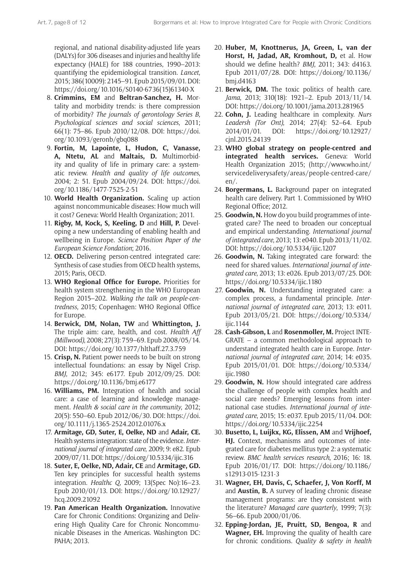regional, and national disability-adjusted life years (DALYs) for 306 diseases and injuries and healthy life expectancy (HALE) for 188 countries, 1990–2013: quantifying the epidemiological transition. *Lancet*, 2015; 386(10009): 2145–91. Epub 2015/09/01. DOI: [https://doi.org/10.1016/S0140-6736\(15\)61340-X](https://doi.org/10.1016/S0140-6736(15)61340-X)

- 8. **Crimmins, EM** and **Beltran-Sanchez, H.** Mortality and morbidity trends: is there compression of morbidity? *The journals of gerontology Series B, Psychological sciences and social sciences*, 2011; 66(1): 75–86. Epub 2010/12/08. DOI: [https://doi.](https://doi.org/10.1093/geronb/gbq088) [org/10.1093/geronb/gbq088](https://doi.org/10.1093/geronb/gbq088)
- 9. **Fortin, M, Lapointe, L, Hudon, C, Vanasse, A, Ntetu, AL** and **Maltais, D.** Multimorbidity and quality of life in primary care: a systematic review. *Health and quality of life outcomes*, 2004; 2: 51. Epub 2004/09/24. DOI: [https://doi.](https://doi.org/10.1186/1477-7525-2-51) [org/10.1186/1477-7525-2-51](https://doi.org/10.1186/1477-7525-2-51)
- 10. **World Health Organization.** Scaling up action against noncommunicable diseases: How much will it cost? Geneva: World Health Organization; 2011.
- 11. **Rigby, M, Kock, S, Keeling, D** and **Hill, P.** Developing a new understanding of enabling health and wellbeing in Europe. *Science Position Paper of the European Science Fondation*; 2016.
- 12. **OECD.** Delivering person-centred integrated care: Synthesis of case studies from OECD health systems, 2015; Paris, OECD.
- 13. **WHO Regional Office for Europe.** Priorities for health system strengthening in the WHO European Region 2015–202. *Walking the talk on people-centredness*, 2015; Copenhagen: WHO Regional Office for Europe.
- 14. **Berwick, DM, Nolan, TW** and **Whittington, J.** The triple aim: care, health, and cost. *Health Aff (Millwood)*, 2008; 27(3): 759–69. Epub 2008/05/14. DOI: <https://doi.org/10.1377/hlthaff.27.3.759>
- 15. **Crisp, N.** Patient power needs to be built on strong intellectual foundations: an essay by Nigel Crisp. *BMJ*, 2012; 345: e6177. Epub 2012/09/25. DOI: <https://doi.org/10.1136/bmj.e6177>
- 16. **Williams, PM.** Integration of health and social care: a case of learning and knowledge management. *Health & social care in the community*, 2012; 20(5): 550–60. Epub 2012/06/30. DOI: [https://doi.](https://doi.org/10.1111/j.1365-2524.2012.01076.x) [org/10.1111/j.1365-2524.2012.01076.x](https://doi.org/10.1111/j.1365-2524.2012.01076.x)
- 17. **Armitage, GD, Suter, E, Oelke, ND** and **Adair, CE.** Health systems integration: state of the evidence. *International journal of integrated care*, 2009; 9: e82. Epub 2009/07/11. DOI:<https://doi.org/10.5334/ijic.316>
- 18. **Suter, E, Oelke, ND, Adair, CE** and **Armitage, GD.** Ten key principles for successful health systems integration. *Healthc Q*, 2009; 13(Spec No):16–23. Epub 2010/01/13. DOI: [https://doi.org/10.12927/](https://doi.org/10.12927/hcq.2009.21092) [hcq.2009.21092](https://doi.org/10.12927/hcq.2009.21092)
- 19. **Pan American Health Organization.** Innovative Care for Chronic Conditions: Organizing and Delivering High Quality Care for Chronic Noncommunicable Diseases in the Americas. Washington DC: PAHA; 2013.
- 20. **Huber, M, Knottnerus, JA, Green, L, van der Horst, H, Jadad, AR, Kromhout, D,** et al. How should we define health? *BMJ*, 2011; 343: d4163. Epub 2011/07/28. DOI: [https://doi.org/10.1136/](https://doi.org/10.1136/bmj.d4163) [bmj.d4163](https://doi.org/10.1136/bmj.d4163)
- 21. **Berwick, DM.** The toxic politics of health care. *Jama*, 2013; 310(18): 1921–2. Epub 2013/11/14. DOI:<https://doi.org/10.1001/jama.2013.281965>
- 22. **Cohn, J.** Leading healthcare in complexity. *Nurs Leadersh (Tor Ont)*, 2014; 27(4): 52–64. Epub 2014/01/01. DOI: [https://doi.org/10.12927/](https://doi.org/10.12927/cjnl.2015.24139) [cjnl.2015.24139](https://doi.org/10.12927/cjnl.2015.24139)
- 23. **WHO global strategy on people-centred and integrated health services.** Geneva: World Health Organization 2015; [\(http://www.who.int/](http://www.who.int/servicedeliverysafety/areas/people-centred-care/en/) [servicedeliverysafety/areas/people-centred-care/](http://www.who.int/servicedeliverysafety/areas/people-centred-care/en/) [en/](http://www.who.int/servicedeliverysafety/areas/people-centred-care/en/).
- 24. **Borgermans, L.** Background paper on integrated health care delivery. Part 1. Commissioned by WHO Regional Office; 2012.
- 25. **Goodwin, N.** How do you build programmes of integrated care? The need to broaden our conceptual and empirical understanding. *International journal of integrated care*, 2013; 13: e040. Epub 2013/11/02. DOI:<https://doi.org/10.5334/ijic.1207>
- 26. **Goodwin, N.** Taking integrated care forward: the need for shared values. *International journal of integrated care*, 2013; 13: e026. Epub 2013/07/25. DOI: <https://doi.org/10.5334/ijic.1180>
- 27. **Goodwin, N.** Understanding integrated care: a complex process, a fundamental principle. *International journal of integrated care*, 2013; 13: e011. Epub 2013/05/21. DOI: [https://doi.org/10.5334/](https://doi.org/10.5334/ijic.1144) [ijic.1144](https://doi.org/10.5334/ijic.1144)
- 28. **Cash-Gibson, L** and **Rosenmoller, M.** Project INTE-GRATE – a common methodological approach to understand integrated health care in Europe. *International journal of integrated care*, 2014; 14: e035. Epub 2015/01/01. DOI: [https://doi.org/10.5334/](https://doi.org/10.5334/ijic.1980) [ijic.1980](https://doi.org/10.5334/ijic.1980)
- 29. **Goodwin, N.** How should integrated care address the challenge of people with complex health and social care needs? Emerging lessons from international case studies. *International journal of integrated care*, 2015; 15: e037. Epub 2015/11/04. DOI: <https://doi.org/10.5334/ijic.2254>
- 30. **Busetto, L, Luijkx, KG, Elissen, AM** and **Vrijhoef, HJ.** Context, mechanisms and outcomes of integrated care for diabetes mellitus type 2: a systematic review. *BMC health services research*, 2016; 16: 18. Epub 2016/01/17. DOI: [https://doi.org/10.1186/](https://doi.org/10.1186/s12913-015-1231-3) [s12913-015-1231-3](https://doi.org/10.1186/s12913-015-1231-3)
- 31. **Wagner, EH, Davis, C, Schaefer, J, Von Korff, M**  and **Austin, B.** A survey of leading chronic disease management programs: are they consistent with the literature? *Managed care quarterly*, 1999; 7(3): 56–66. Epub 2000/01/06.
- 32. **Epping-Jordan, JE, Pruitt, SD, Bengoa, R** and **Wagner, EH.** Improving the quality of health care for chronic conditions. *Quality & safety in health*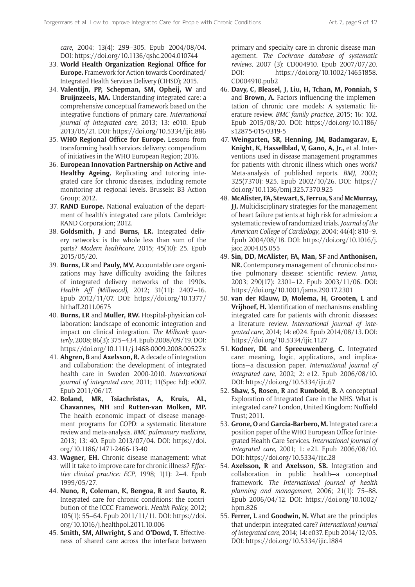*care*, 2004; 13(4): 299–305. Epub 2004/08/04. DOI:<https://doi.org/10.1136/qshc.2004.010744>

- 33. **World Health Organization Regional Office for Europe.** Framework for Action towards Coordinated/ Integrated Health Services Delivery (CIHSD); 2015.
- 34. **Valentijn, PP, Schepman, SM, Opheij, W** and **Bruijnzeels, MA.** Understanding integrated care: a comprehensive conceptual framework based on the integrative functions of primary care. *International journal of integrated care*, 2013; 13: e010. Epub 2013/05/21. DOI:<https://doi.org/10.5334/ijic.886>
- 35. **WHO Regional Office for Europe.** Lessons from transforming health services delivery: compendium of initiatives in the WHO European Region; 2016.
- 36. **European Innovation Partnership on Active and Healthy Ageing.** Replicating and tutoring integrated care for chronic diseases, including remote monitoring at regional levels. Brussels: B3 Action Group; 2012.
- 37. **RAND Europe.** National evaluation of the department of health's integrated care pilots. Cambridge: RAND Corporation; 2012.
- 38. **Goldsmith, J** and **Burns, LR.** Integrated delivery networks: is the whole less than sum of the parts? *Modern healthcare*, 2015; 45(10): 25. Epub 2015/05/20.
- 39. **Burns, LR** and **Pauly, MV.** Accountable care organizations may have difficulty avoiding the failures of integrated delivery networks of the 1990s. *Health Aff (Millwood)*, 2012; 31(11): 2407–16. Epub 2012/11/07. DOI: [https://doi.org/10.1377/](https://doi.org/10.1377/hlthaff.2011.0675) [hlthaff.2011.0675](https://doi.org/10.1377/hlthaff.2011.0675)
- 40. **Burns, LR** and **Muller, RW.** Hospital-physician collaboration: landscape of economic integration and impact on clinical integration. *The Milbank quarterly*, 2008; 86(3): 375–434. Epub 2008/09/19. DOI: <https://doi.org/10.1111/j.1468-0009.2008.00527.x>
- 41. **Ahgren, B** and **Axelsson, R.** A decade of integration and collaboration: the development of integrated health care in Sweden 2000-2010. *International journal of integrated care*, 2011; 11(Spec Ed): e007. Epub 2011/06/17.
- 42. **Boland, MR, Tsiachristas, A, Kruis, AL, Chavannes, NH** and **Rutten-van Molken, MP.** The health economic impact of disease management programs for COPD: a systematic literature review and meta-analysis. *BMC pulmonary medicine*, 2013; 13: 40. Epub 2013/07/04. DOI: [https://doi.](https://doi.org/10.1186/1471-2466-13-40) [org/10.1186/1471-2466-13-40](https://doi.org/10.1186/1471-2466-13-40)
- 43. **Wagner, EH.** Chronic disease management: what will it take to improve care for chronic illness? *Effective clinical practice: ECP*, 1998; 1(1): 2–4. Epub 1999/05/27.
- 44. **Nuno, R, Coleman, K, Bengoa, R** and **Sauto, R.** Integrated care for chronic conditions: the contribution of the ICCC Framework. *Health Policy*, 2012; 105(1): 55–64. Epub 2011/11/11. DOI: [https://doi.](https://doi.org/10.1016/j.healthpol.2011.10.006) [org/10.1016/j.healthpol.2011.10.006](https://doi.org/10.1016/j.healthpol.2011.10.006)
- 45. **Smith, SM, Allwright, S** and **O'Dowd, T.** Effectiveness of shared care across the interface between

primary and specialty care in chronic disease management. *The Cochrane database of systematic reviews*, 2007 (3): CD004910. Epub 2007/07/20. DOI: [https://doi.org/10.1002/14651858.](https://doi.org/10.1002/14651858.CD004910.pub2) [CD004910.pub2](https://doi.org/10.1002/14651858.CD004910.pub2)

- 46. **Davy, C, Bleasel, J, Liu, H, Tchan, M, Ponniah, S**  and **Brown, A.** Factors influencing the implementation of chronic care models: A systematic literature review. *BMC family practice*, 2015; 16: 102. Epub 2015/08/20. DOI: [https://doi.org/10.1186/](https://doi.org/10.1186/s12875-015-0319-5) [s12875-015-0319-5](https://doi.org/10.1186/s12875-015-0319-5)
- 47. **Weingarten, SR, Henning, JM, Badamgarav, E, Knight, K, Hasselblad, V, Gano, A, Jr.,** et al. Interventions used in disease management programmes for patients with chronic illness-which ones work? Meta-analysis of published reports. *BMJ*, 2002; 325(7370): 925. Epub 2002/10/26. DOI: [https://](https://doi.org/10.1136/bmj.325.7370.925) [doi.org/10.1136/bmj.325.7370.925](https://doi.org/10.1136/bmj.325.7370.925)
- 48. **McAlister, FA, Stewart, S, Ferrua, S** and**McMurray, JJ.** Multidisciplinary strategies for the management of heart failure patients at high risk for admission: a systematic review of randomized trials. *Journal of the American College of Cardiology*, 2004; 44(4): 810–9. Epub 2004/08/18. DOI: [https://doi.org/10.1016/j.](https://doi.org/10.1016/j.jacc.2004.05.055) [jacc.2004.05.055](https://doi.org/10.1016/j.jacc.2004.05.055)
- 49. **Sin, DD, McAlister, FA, Man, SF** and **Anthonisen, NR.** Contemporary management of chronic obstructive pulmonary disease: scientific review. *Jama*, 2003; 290(17): 2301–12. Epub 2003/11/06. DOI: <https://doi.org/10.1001/jama.290.17.2301>
- 50. **van der Klauw, D, Molema, H, Grooten, L** and **Vrijhoef, H.** Identification of mechanisms enabling integrated care for patients with chronic diseases: a literature review. *International journal of integrated care*, 2014; 14: e024. Epub 2014/08/13. DOI: <https://doi.org/10.5334/ijic.1127>
- 51. **Kodner, DL** and **Spreeuwenberg, C.** Integrated care: meaning, logic, applications, and implications—a discussion paper. *International journal of integrated care*, 2002; 2: e12. Epub 2006/08/10. DOI: <https://doi.org/10.5334/ijic.67>
- 52. **Shaw, S, Rosen, R** and **Rumbold, B.** A conceptual Exploration of Integrated Care in the NHS: What is integrated care? London, United Kingdom: Nuffield Trust; 2011.
- 53. **Grone, O** and **Garcia-Barbero, M.** Integrated care: a position paper of the WHO European Office for Integrated Health Care Services. *International journal of integrated care*, 2001; 1: e21. Epub 2006/08/10. DOI: <https://doi.org/10.5334/ijic.28>
- 54. **Axelsson, R** and **Axelsson, SB.** Integration and collaboration in public health—a conceptual framework. *The International journal of health planning and management*, 2006; 21(1): 75–88. Epub 2006/04/12. DOI: [https://doi.org/10.1002/](https://doi.org/10.1002/hpm.826) [hpm.826](https://doi.org/10.1002/hpm.826)
- 55. **Ferrer, L** and **Goodwin, N.** What are the principles that underpin integrated care? *International journal of integrated care*, 2014; 14: e037. Epub 2014/12/05. DOI: <https://doi.org/10.5334/ijic.1884>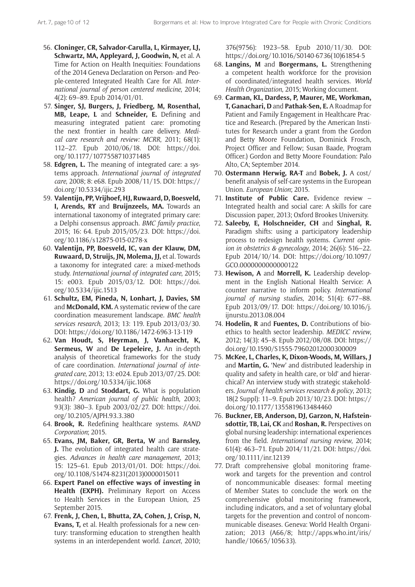- 56. **Cloninger, CR, Salvador-Carulla, L, Kirmayer, LJ, Schwartz, MA, Appleyard, J, Goodwin, N,** et al. A Time for Action on Health Inequities: Foundations of the 2014 Geneva Declaration on Person- and People-centered Integrated Health Care for All. *International journal of person centered medicine*, 2014; 4(2): 69–89. Epub 2014/01/01.
- 57. **Singer, SJ, Burgers, J, Friedberg, M, Rosenthal, MB, Leape, L** and **Schneider, E.** Defining and measuring integrated patient care: promoting the next frontier in health care delivery. *Medical care research and review: MCRR*, 2011; 68(1): 112–27. Epub 2010/06/18. DOI: [https://doi.](https://doi.org/10.1177/1077558710371485) [org/10.1177/1077558710371485](https://doi.org/10.1177/1077558710371485)
- 58. **Edgren, L.** The meaning of integrated care: a systems approach. *International journal of integrated care*, 2008; 8: e68. Epub 2008/11/15. DOI: [https://](https://doi.org/10.5334/ijic.293) [doi.org/10.5334/ijic.293](https://doi.org/10.5334/ijic.293)
- 59. **Valentijn, PP, Vrijhoef, HJ, Ruwaard, D, Boesveld, I, Arends, RY** and **Bruijnzeels, MA.** Towards an international taxonomy of integrated primary care: a Delphi consensus approach. *BMC family practice*, 2015; 16: 64. Epub 2015/05/23. DOI: [https://doi.](https://doi.org/10.1186/s12875-015-0278-x) [org/10.1186/s12875-015-0278-x](https://doi.org/10.1186/s12875-015-0278-x)
- 60. **Valentijn, PP, Boesveld, IC, van der Klauw, DM, Ruwaard, D, Struijs, JN, Molema, JJ,** et al. Towards a taxonomy for integrated care: a mixed-methods study. *International journal of integrated care*, 2015; 15: e003. Epub 2015/03/12. DOI: [https://doi.](https://doi.org/10.5334/ijic.1513) [org/10.5334/ijic.1513](https://doi.org/10.5334/ijic.1513)
- 61. **Schultz, EM, Pineda, N, Lonhart, J, Davies, SM**  and **McDonald, KM.** A systematic review of the care coordination measurement landscape. *BMC health services research*, 2013; 13: 119. Epub 2013/03/30. DOI: <https://doi.org/10.1186/1472-6963-13-119>
- 62. **Van Houdt, S, Heyrman, J, Vanhaecht, K, Sermeus, W** and **De Lepeleire, J.** An in-depth analysis of theoretical frameworks for the study of care coordination. *International journal of integrated care*, 2013; 13: e024. Epub 2013/07/25. DOI: <https://doi.org/10.5334/ijic.1068>
- 63. **Kindig, D** and **Stoddart, G.** What is population health? *American journal of public health*, 2003; 93(3): 380–3. Epub 2003/02/27. DOI: [https://doi.](https://doi.org/10.2105/AJPH.93.3.380) [org/10.2105/AJPH.93.3.380](https://doi.org/10.2105/AJPH.93.3.380)
- 64. **Brook, R.** Redefining healthcare systems. *RAND Corporation*; 2015.
- 65. **Evans, JM, Baker, GR, Berta, W** and **Barnsley, J.** The evolution of integrated health care strategies. *Advances in health care management*, 2013; 15: 125–61. Epub 2013/01/01. DOI: [https://doi.](https://doi.org/10.1108/S1474-8231(2013)0000015011) [org/10.1108/S1474-8231\(2013\)0000015011](https://doi.org/10.1108/S1474-8231(2013)0000015011)
- 66. **Expert Panel on effective ways of investing in Health (EXPH).** Preliminary Report on Access to Health Services in the European Union, 25 September 2015.
- 67. **Frenk, J, Chen, L, Bhutta, ZA, Cohen, J, Crisp, N, Evans, T,** et al. Health professionals for a new century: transforming education to strengthen health systems in an interdependent world. *Lancet*, 2010;

376(9756): 1923–58. Epub 2010/11/30. DOI: [https://doi.org/10.1016/S0140-6736\(10\)61854-5](https://doi.org/10.1016/S0140-6736(10)61854-5)

- 68. **Langins, M** and **Borgermans, L.** Strengthening a competent health workforce for the provision of coordinated/integrated health services. *World Health Organization*, 2015; Working document.
- 69. **Carman, KL, Dardess, P, Maurer, ME, Workman, T, Ganachari, D** and **Pathak-Sen, E.** A Roadmap for Patient and Family Engagement in Healthcare Practice and Research. (Prepared by the American Institutes for Research under a grant from the Gordon and Betty Moore Foundation, Dominick Frosch, Project Officer and Fellow; Susan Baade, Program Officer.) Gordon and Betty Moore Foundation: Palo Alto, CA; September 2014.
- 70. **Ostermann Herwig, RA-T** and **Bobek, J.** A cost/ benefit analysis of self-care systems in the European Union. *European Union*; 2015.
- 71. **Institute of Public Care.** Evidence review Integrated health and social care: A skills for care Discussion paper, 2013; Oxford Brookes University.
- 72. **Saleeby, E, Holschneider, CH** and **Singhal, R.** Paradigm shifts: using a participatory leadership process to redesign health systems. *Current opinion in obstetrics & gynecology*, 2014; 26(6): 516–22. Epub 2014/10/14. DOI: [https://doi.org/10.1097/](https://doi.org/10.1097/GCO.0000000000000122) [GCO.0000000000000122](https://doi.org/10.1097/GCO.0000000000000122)
- 73. **Hewison, A** and **Morrell, K.** Leadership development in the English National Health Service: A counter narrative to inform policy. *International journal of nursing studies*, 2014; 51(4): 677–88. Epub 2013/09/17. DOI: [https://doi.org/10.1016/j.](https://doi.org/10.1016/j.ijnurstu.2013.08.004) [ijnurstu.2013.08.004](https://doi.org/10.1016/j.ijnurstu.2013.08.004)
- 74. **Hodelin, R** and **Fuentes, D.** Contributions of bioethics to health sector leadership. *MEDICC review*, 2012; 14(3): 45–8. Epub 2012/08/08. DOI: [https://](https://doi.org/10.1590/S1555-79602012000300009) [doi.org/10.1590/S1555-79602012000300009](https://doi.org/10.1590/S1555-79602012000300009)
- 75. **McKee, L, Charles, K, Dixon-Woods, M, Willars, J**  and **Martin, G.** 'New' and distributed leadership in quality and safety in health care, or 'old' and hierarchical? An interview study with strategic stakeholders. *Journal of health services research & policy*, 2013; 18(2 Suppl): 11–9. Epub 2013/10/23. DOI: [https://](https://doi.org/10.1177/1355819613484460) [doi.org/10.1177/1355819613484460](https://doi.org/10.1177/1355819613484460)
- 76. **Buckner, EB, Anderson, DJ, Garzon, N, Hafsteinsdottir, TB, Lai, CK** and **Roshan, R.** Perspectives on global nursing leadership: international experiences from the field. *International nursing review*, 2014; 61(4): 463–71. Epub 2014/11/21. DOI: [https://doi.](https://doi.org/10.1111/inr.12139) [org/10.1111/inr.12139](https://doi.org/10.1111/inr.12139)
- 77. Draft comprehensive global monitoring framework and targets for the prevention and control of noncommunicable diseases: formal meeting of Member States to conclude the work on the comprehensive global monitoring framework, including indicators, and a set of voluntary global targets for the prevention and control of noncommunicable diseases. Geneva: World Health Organization; 2013 (A66/8; [http://apps.who.int/iris/](http://apps.who.int/iris/handle/10665/105633) [handle/10665/105633](http://apps.who.int/iris/handle/10665/105633)).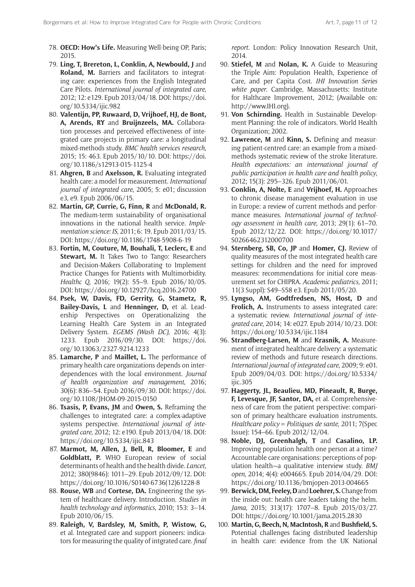- 78. **OECD: How's Life.** Measuring Well-being OP, Paris; 2015.
- 79. **Ling, T, Brereton, L, Conklin, A, Newbould, J** and **Roland, M.** Barriers and facilitators to integrating care: experiences from the English Integrated Care Pilots. *International journal of integrated care*, 2012; 12: e129. Epub 2013/04/18. DOI: [https://doi.](https://doi.org/10.5334/ijic.982) [org/10.5334/ijic.982](https://doi.org/10.5334/ijic.982)
- 80. **Valentijn, PP, Ruwaard, D, Vrijhoef, HJ, de Bont, A, Arends, RY** and **Bruijnzeels, MA.** Collaboration processes and perceived effectiveness of integrated care projects in primary care: a longitudinal mixed-methods study. *BMC health services research*, 2015; 15: 463. Epub 2015/10/10. DOI: [https://doi.](https://doi.org/10.1186/s12913-015-1125-4) [org/10.1186/s12913-015-1125-4](https://doi.org/10.1186/s12913-015-1125-4)
- 81. **Ahgren, B** and **Axelsson, R.** Evaluating integrated health care: a model for measurement. *International journal of integrated care*, 2005; 5: e01; discussion e3, e9. Epub 2006/06/15.
- 82. **Martin, GP, Currie, G, Finn, R** and **McDonald, R.** The medium-term sustainability of organisational innovations in the national health service. *Implementation science: IS*, 2011; 6: 19. Epub 2011/03/15. DOI:<https://doi.org/10.1186/1748-5908-6-19>
- 83. **Fortin, M, Couture, M, Bouhali, T, Leclerc, E** and **Stewart, M.** It Takes Two to Tango: Researchers and Decision-Makers Collaborating to Implement Practice Changes for Patients with Multimorbidity. *Healthc Q*, 2016; 19(2): 55–9. Epub 2016/10/05. DOI:<https://doi.org/10.12927/hcq.2016.24700>
- 84. **Psek, W, Davis, FD, Gerrity, G, Stametz, R, Bailey-Davis, L** and **Henninger, D,** et al. Leadership Perspectives on Operationalizing the Learning Health Care System in an Integrated Delivery System. *EGEMS (Wash DC)*, 2016; 4(3): 1233. Epub 2016/09/30. DOI: [https://doi.](https://doi.org/10.13063/2327-9214.1233) [org/10.13063/2327-9214.1233](https://doi.org/10.13063/2327-9214.1233)
- 85. **Lamarche, P** and **Maillet, L.** The performance of primary health care organizations depends on interdependences with the local environment. *Journal of health organization and management*, 2016; 30(6): 836–54. Epub 2016/09/30. DOI: [https://doi.](https://doi.org/10.1108/JHOM-09-2015-0150) [org/10.1108/JHOM-09-2015-0150](https://doi.org/10.1108/JHOM-09-2015-0150)
- 86. **Tsasis, P, Evans, JM** and **Owen, S.** Reframing the challenges to integrated care: a complex-adaptive systems perspective. *International journal of integrated care*, 2012; 12: e190. Epub 2013/04/18. DOI: <https://doi.org/10.5334/ijic.843>
- 87. **Marmot, M, Allen, J, Bell, R, Bloomer, E** and **Goldblatt, P.** WHO European review of social determinants of health and the health divide. *Lancet*, 2012; 380(9846): 1011–29. Epub 2012/09/12. DOI: [https://doi.org/10.1016/S0140-6736\(12\)61228-8](https://doi.org/10.1016/S0140-6736(12)61228-8)
- 88. **Rouse, WB** and **Cortese, DA.** Engineering the system of healthcare delivery. Introduction. *Studies in health technology and informatics*, 2010; 153: 3–14. Epub 2010/06/15.
- 89. **Raleigh, V, Bardsley, M, Smith, P, Wistow, G,** et al. Integrated care and support pioneers: indicators for measuring the quality of intgrated care. *final*

*report*. London: Policy Innovation Research Unit, 2014.

- 90. **Stiefel, M** and **Nolan, K.** A Guide to Measuring the Triple Aim: Population Health, Experience of Care, and per Capita Cost. *IHI Innovation Series white paper*. Cambridge, Massachusetts: Institute for Halthcare Improvement, 2012; (Available on: <http://www.IHI.org>).
- 91. **Von Schirnding.** Health in Sustainable Development Planning: the role of indicators. World Health Organization; 2002.
- 92. **Lawrence, M** and **Kinn, S.** Defining and measuring patient-centred care: an example from a mixedmethods systematic review of the stroke literature. *Health expectations: an international journal of public participation in health care and health policy*, 2012; 15(3): 295–326. Epub 2011/06/01.
- 93. **Conklin, A, Nolte, E** and **Vrijhoef, H.** Approaches to chronic disease management evaluation in use in Europe: a review of current methods and performance measures. *International journal of technology assessment in health care*, 2013; 29(1): 61–70. Epub 2012/12/22. DOI: [https://doi.org/10.1017/](https://doi.org/10.1017/S0266462312000700) [S0266462312000700](https://doi.org/10.1017/S0266462312000700)
- 94. **Sternberg, SB, Co, JP** and **Homer, CJ.** Review of quality measures of the most integrated health care settings for children and the need for improved measures: recommendations for initial core measurement set for CHIPRA. *Academic pediatrics*, 2011; 11(3 Suppl): S49–S58 e3. Epub 2011/05/20.
- 95. **Lyngso, AM, Godtfredsen, NS, Host, D** and **Frolich, A.** Instruments to assess integrated care: a systematic review. *International journal of integrated care*, 2014; 14: e027. Epub 2014/10/23. DOI: <https://doi.org/10.5334/ijic.1184>
- 96. **Strandberg-Larsen, M** and **Krasnik, A.** Measurement of integrated healthcare delivery: a systematic review of methods and future research directions. *International journal of integrated care*, 2009; 9: e01. Epub 2009/04/03. DOI: [https://doi.org/10.5334/](https://doi.org/10.5334/ijic.305) [ijic.305](https://doi.org/10.5334/ijic.305)
- 97. **Haggerty, JL, Beaulieu, MD, Pineault, R, Burge, F, Levesque, JF, Santor, DA,** et al. Comprehensiveness of care from the patient perspective: comparison of primary healthcare evaluation instruments. *Healthcare policy = Politiques de sante*, 2011; 7(Spec Issue): 154–66. Epub 2012/12/04.
- 98. **Noble, DJ, Greenhalgh, T** and **Casalino, LP.** Improving population health one person at a time? Accountable care organisations: perceptions of population health—a qualitative interview study. *BMJ open*, 2014; 4(4): e004665. Epub 2014/04/29. DOI: <https://doi.org/10.1136/bmjopen-2013-004665>
- 99. Berwick, DM, Feeley, D and Loehrer, S. Change from the inside out: health care leaders taking the helm. *Jama*, 2015; 313(17): 1707–8. Epub 2015/03/27. DOI:<https://doi.org/10.1001/jama.2015.2830>
- 100. **Martin, G, Beech, N, MacIntosh, R** and **Bushfield, S.** Potential challenges facing distributed leadership in health care: evidence from the UK National